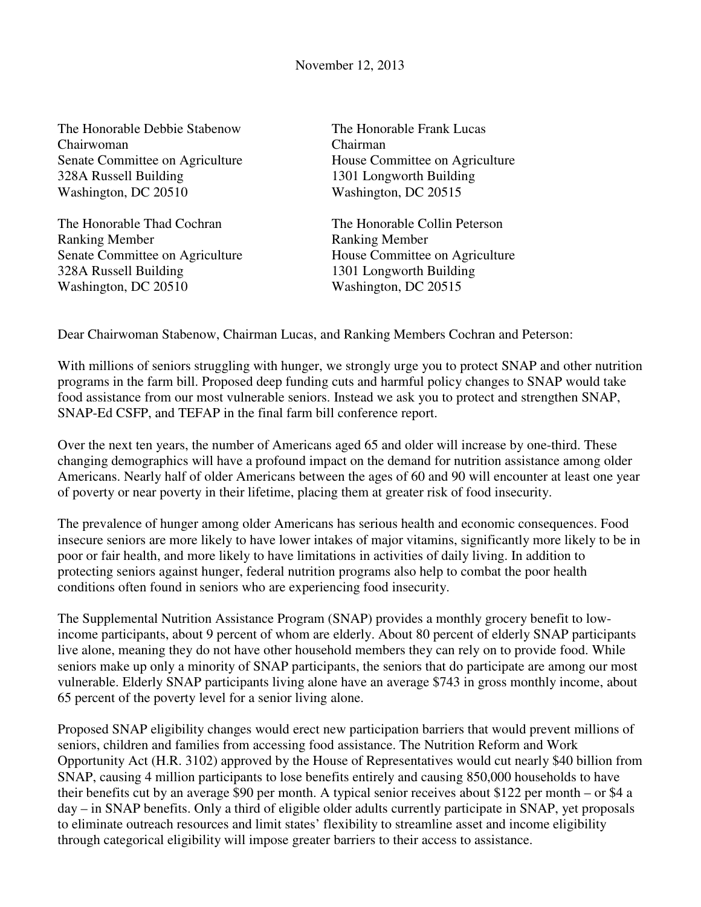November 12, 2013

The Honorable Debbie Stabenow Chairwoman Senate Committee on Agriculture 328A Russell Building Washington, DC 20510

The Honorable Thad Cochran Ranking Member Senate Committee on Agriculture 328A Russell Building Washington, DC 20510

The Honorable Frank Lucas Chairman House Committee on Agriculture 1301 Longworth Building Washington, DC 20515

The Honorable Collin Peterson Ranking Member House Committee on Agriculture 1301 Longworth Building Washington, DC 20515

Dear Chairwoman Stabenow, Chairman Lucas, and Ranking Members Cochran and Peterson:

With millions of seniors struggling with hunger, we strongly urge you to protect SNAP and other nutrition programs in the farm bill. Proposed deep funding cuts and harmful policy changes to SNAP would take food assistance from our most vulnerable seniors. Instead we ask you to protect and strengthen SNAP, SNAP-Ed CSFP, and TEFAP in the final farm bill conference report.

Over the next ten years, the number of Americans aged 65 and older will increase by one-third. These changing demographics will have a profound impact on the demand for nutrition assistance among older Americans. Nearly half of older Americans between the ages of 60 and 90 will encounter at least one year of poverty or near poverty in their lifetime, placing them at greater risk of food insecurity.

The prevalence of hunger among older Americans has serious health and economic consequences. Food insecure seniors are more likely to have lower intakes of major vitamins, significantly more likely to be in poor or fair health, and more likely to have limitations in activities of daily living. In addition to protecting seniors against hunger, federal nutrition programs also help to combat the poor health conditions often found in seniors who are experiencing food insecurity.

The Supplemental Nutrition Assistance Program (SNAP) provides a monthly grocery benefit to lowincome participants, about 9 percent of whom are elderly. About 80 percent of elderly SNAP participants live alone, meaning they do not have other household members they can rely on to provide food. While seniors make up only a minority of SNAP participants, the seniors that do participate are among our most vulnerable. Elderly SNAP participants living alone have an average \$743 in gross monthly income, about 65 percent of the poverty level for a senior living alone.

Proposed SNAP eligibility changes would erect new participation barriers that would prevent millions of seniors, children and families from accessing food assistance. The Nutrition Reform and Work Opportunity Act (H.R. 3102) approved by the House of Representatives would cut nearly \$40 billion from SNAP, causing 4 million participants to lose benefits entirely and causing 850,000 households to have their benefits cut by an average \$90 per month. A typical senior receives about \$122 per month – or \$4 a day – in SNAP benefits. Only a third of eligible older adults currently participate in SNAP, yet proposals to eliminate outreach resources and limit states' flexibility to streamline asset and income eligibility through categorical eligibility will impose greater barriers to their access to assistance.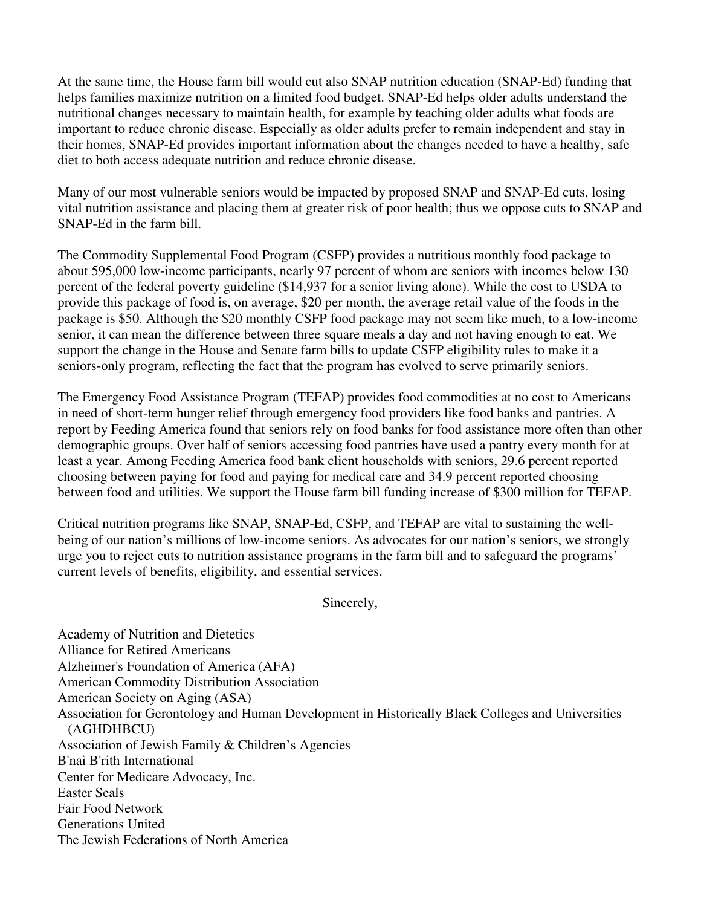At the same time, the House farm bill would cut also SNAP nutrition education (SNAP-Ed) funding that helps families maximize nutrition on a limited food budget. SNAP-Ed helps older adults understand the nutritional changes necessary to maintain health, for example by teaching older adults what foods are important to reduce chronic disease. Especially as older adults prefer to remain independent and stay in their homes, SNAP-Ed provides important information about the changes needed to have a healthy, safe diet to both access adequate nutrition and reduce chronic disease.

Many of our most vulnerable seniors would be impacted by proposed SNAP and SNAP-Ed cuts, losing vital nutrition assistance and placing them at greater risk of poor health; thus we oppose cuts to SNAP and SNAP-Ed in the farm bill.

The Commodity Supplemental Food Program (CSFP) provides a nutritious monthly food package to about 595,000 low-income participants, nearly 97 percent of whom are seniors with incomes below 130 percent of the federal poverty guideline (\$14,937 for a senior living alone). While the cost to USDA to provide this package of food is, on average, \$20 per month, the average retail value of the foods in the package is \$50. Although the \$20 monthly CSFP food package may not seem like much, to a low-income senior, it can mean the difference between three square meals a day and not having enough to eat. We support the change in the House and Senate farm bills to update CSFP eligibility rules to make it a seniors-only program, reflecting the fact that the program has evolved to serve primarily seniors.

The Emergency Food Assistance Program (TEFAP) provides food commodities at no cost to Americans in need of short-term hunger relief through emergency food providers like food banks and pantries. A report by Feeding America found that seniors rely on food banks for food assistance more often than other demographic groups. Over half of seniors accessing food pantries have used a pantry every month for at least a year. Among Feeding America food bank client households with seniors, 29.6 percent reported choosing between paying for food and paying for medical care and 34.9 percent reported choosing between food and utilities. We support the House farm bill funding increase of \$300 million for TEFAP.

Critical nutrition programs like SNAP, SNAP-Ed, CSFP, and TEFAP are vital to sustaining the wellbeing of our nation's millions of low-income seniors. As advocates for our nation's seniors, we strongly urge you to reject cuts to nutrition assistance programs in the farm bill and to safeguard the programs' current levels of benefits, eligibility, and essential services.

Sincerely,

Academy of Nutrition and Dietetics Alliance for Retired Americans Alzheimer's Foundation of America (AFA) American Commodity Distribution Association American Society on Aging (ASA) Association for Gerontology and Human Development in Historically Black Colleges and Universities (AGHDHBCU) Association of Jewish Family & Children's Agencies B'nai B'rith International Center for Medicare Advocacy, Inc. Easter Seals Fair Food Network Generations United The Jewish Federations of North America